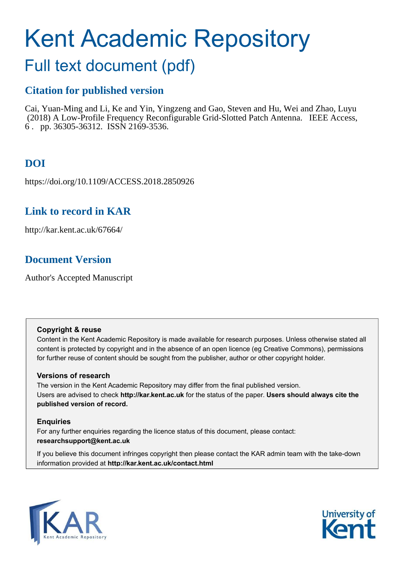# Kent Academic Repository

# Full text document (pdf)

## **Citation for published version**

Cai, Yuan-Ming and Li, Ke and Yin, Yingzeng and Gao, Steven and Hu, Wei and Zhao, Luyu (2018) A Low-Profile Frequency Reconfigurable Grid-Slotted Patch Antenna. IEEE Access, 6 . pp. 36305-36312. ISSN 2169-3536.

# **DOI**

https://doi.org/10.1109/ACCESS.2018.2850926

## **Link to record in KAR**

http://kar.kent.ac.uk/67664/

## **Document Version**

Author's Accepted Manuscript

#### **Copyright & reuse**

Content in the Kent Academic Repository is made available for research purposes. Unless otherwise stated all content is protected by copyright and in the absence of an open licence (eg Creative Commons), permissions for further reuse of content should be sought from the publisher, author or other copyright holder.

#### **Versions of research**

The version in the Kent Academic Repository may differ from the final published version. Users are advised to check **http://kar.kent.ac.uk** for the status of the paper. **Users should always cite the published version of record.**

#### **Enquiries**

For any further enquiries regarding the licence status of this document, please contact: **researchsupport@kent.ac.uk**

If you believe this document infringes copyright then please contact the KAR admin team with the take-down information provided at **http://kar.kent.ac.uk/contact.html**



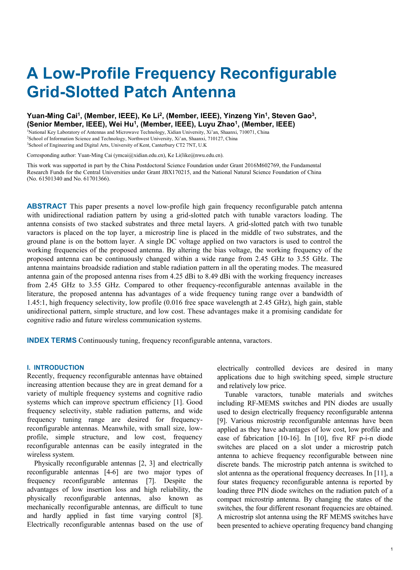# **A Low-Profile Frequency Reconfigurable Grid-Slotted Patch Antenna**

#### **Yuan-Ming Cai<sup>1</sup> , (Member, IEEE), Ke Li<sup>2</sup> , (Member, IEEE), Yinzeng Yin<sup>1</sup> , Steven Gao<sup>3</sup> , (Senior Member, IEEE), Wei Hu<sup>1</sup> , (Member, IEEE), Luyu Zhao<sup>1</sup> , (Member, IEEE)**

<sup>1</sup>National Key Laboratory of Antennas and Microwave Technology, Xidian University, Xi'an, Shaanxi, 710071, China <sup>2</sup>School of Information Science and Technology, Northwest University, Xi'an, Shaanxi, 710127, China <sup>3</sup>School of Engineering and Digital Arts, University of Kent, Canterbury CT2 7NT, U.K

Corresponding author: Yuan-Ming Cai (ymcai@xidian.edu.cn), Ke Li(like@nwu.edu.cn).

This work was supported in part by the China Postdoctoral Science Foundation under Grant 2016M602769, the Fundamental Research Funds for the Central Universities under Grant JBX170215, and the National Natural Science Foundation of China (No. 61501340 and No. 61701366).

**ABSTRACT** This paper presents a novel low-profile high gain frequency reconfigurable patch antenna with unidirectional radiation pattern by using a grid-slotted patch with tunable varactors loading. The antenna consists of two stacked substrates and three metal layers. A grid-slotted patch with two tunable varactors is placed on the top layer, a microstrip line is placed in the middle of two substrates, and the ground plane is on the bottom layer. A single DC voltage applied on two varactors is used to control the working frequencies of the proposed antenna. By altering the bias voltage, the working frequency of the proposed antenna can be continuously changed within a wide range from 2.45 GHz to 3.55 GHz. The antenna maintains broadside radiation and stable radiation pattern in all the operating modes. The measured antenna gain of the proposed antenna rises from 4.25 dBi to 8.49 dBi with the working frequency increases from 2.45 GHz to 3.55 GHz. Compared to other frequency-reconfigurable antennas available in the literature, the proposed antenna has advantages of a wide frequency tuning range over a bandwidth of 1.45:1, high frequency selectivity, low profile (0.016 free space wavelength at 2.45 GHz), high gain, stable unidirectional pattern, simple structure, and low cost. These advantages make it a promising candidate for cognitive radio and future wireless communication systems.

**INDEX TERMS** Continuously tuning, frequency reconfigurable antenna, varactors.

#### **I. INTRODUCTION**

Recently, frequency reconfigurable antennas have obtained increasing attention because they are in great demand for a variety of multiple frequency systems and cognitive radio systems which can improve spectrum efficiency [1]. Good frequency selectivity, stable radiation patterns, and wide frequency tuning range are desired for frequencyreconfigurable antennas. Meanwhile, with small size, lowprofile, simple structure, and low cost, frequency reconfigurable antennas can be easily integrated in the wireless system.

Physically reconfigurable antennas [2, 3] and electrically reconfigurable antennas [4-6] are two major types of frequency reconfigurable antennas [7]. Despite the advantages of low insertion loss and high reliability, the physically reconfigurable antennas, also known as mechanically reconfigurable antennas, are difficult to tune and hardly applied in fast time varying control [8]. Electrically reconfigurable antennas based on the use of electrically controlled devices are desired in many applications due to high switching speed, simple structure and relatively low price.

Tunable varactors, tunable materials and switches including RF-MEMS switches and PIN diodes are usually used to design electrically frequency reconfigurable antenna [9]. Various microstrip reconfigurable antennas have been applied as they have advantages of low cost, low profile and ease of fabrication [10-16]. In [10], five RF p-i-n diode switches are placed on a slot under a microstrip patch antenna to achieve frequency reconfigurable between nine discrete bands. The microstrip patch antenna is switched to slot antenna as the operational frequency decreases. In [11], a four states frequency reconfigurable antenna is reported by loading three PIN diode switches on the radiation patch of a compact microstrip antenna. By changing the states of the switches, the four different resonant frequencies are obtained. A microstrip slot antenna using the RF MEMS switches have been presented to achieve operating frequency band changing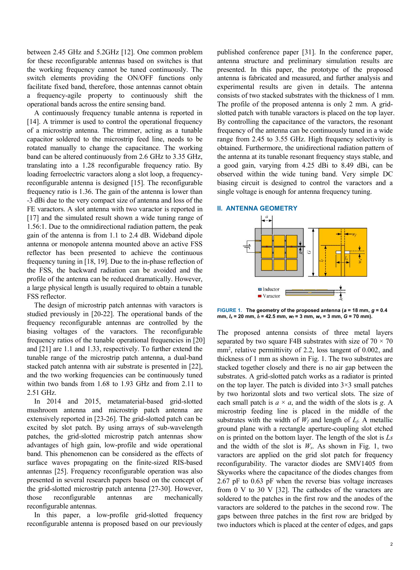between 2.45 GHz and 5.2GHz [12]. One common problem for these reconfigurable antennas based on switches is that the working frequency cannot be tuned continuously. The switch elements providing the ON/OFF functions only facilitate fixed band, therefore, those antennas cannot obtain a frequency-agile property to continuously shift the operational bands across the entire sensing band.

A continuously frequency tunable antenna is reported in [14]. A trimmer is used to control the operational frequency of a microstrip antenna. The trimmer, acting as a tunable capacitor soldered to the microstrip feed line, needs to be rotated manually to change the capacitance. The working band can be altered continuously from 2.6 GHz to 3.35 GHz, translating into a 1.28 reconfigurable frequency ratio. By loading ferroelectric varactors along a slot loop, a frequencyreconfigurable antenna is designed [15]. The reconfigurable frequency ratio is 1.36. The gain of the antenna is lower than -3 dBi due to the very compact size of antenna and loss of the FE varactors. A slot antenna with two varactor is reported in [17] and the simulated result shown a wide tuning range of 1.56:1. Due to the omnidirectional radiation pattern, the peak gain of the antenna is from 1.1 to 2.4 dB. Wideband dipole antenna or monopole antenna mounted above an active FSS reflector has been presented to achieve the continuous frequency tuning in [18, 19]. Due to the in-phase reflection of the FSS, the backward radiation can be avoided and the profile of the antenna can be reduced dramatically. However, a large physical length is usually required to obtain a tunable FSS reflector.

The design of microstrip patch antennas with varactors is studied previously in [20-22]. The operational bands of the frequency reconfigurable antennas are controlled by the biasing voltages of the varactors. The reconfigurable frequency ratios of the tunable operational frequencies in [20] and [21] are 1.1 and 1.33, respectively. To further extend the tunable range of the microstrip patch antenna, a dual-band stacked patch antenna with air substrate is presented in [22], and the two working frequencies can be continuously tuned within two bands from 1.68 to 1.93 GHz and from 2.11 to 2.51 GHz.

In 2014 and 2015, metamaterial-based grid-slotted mushroom antenna and microstrip patch antenna are extensively reported in [23-26]. The grid-slotted patch can be excited by slot patch. By using arrays of sub-wavelength patches, the grid-slotted microstrip patch antennas show advantages of high gain, low-profile and wide operational band. This phenomenon can be considered as the effects of surface waves propagating on the finite-sized RIS-based antennas [25]. Frequency reconfigurable operation was also presented in several research papers based on the concept of the grid-slotted microstrip patch antenna [27-30]. However, those reconfigurable antennas are mechanically reconfigurable antennas.

In this paper, a low-profile grid-slotted frequency reconfigurable antenna is proposed based on our previously published conference paper [31]. In the conference paper, antenna structure and preliminary simulation results are presented. In this paper, the prototype of the proposed antenna is fabricated and measured, and further analysis and experimental results are given in details. The antenna consists of two stacked substrates with the thickness of 1 mm. The profile of the proposed antenna is only 2 mm. A gridslotted patch with tunable varactors is placed on the top layer. By controlling the capacitance of the varactors, the resonant frequency of the antenna can be continuously tuned in a wide range from 2.45 to 3.55 GHz. High frequency selectivity is obtained. Furthermore, the unidirectional radiation pattern of the antenna at its tunable resonant frequency stays stable, and a good gain, varying from 4.25 dBi to 8.49 dBi, can be observed within the wide tuning band. Very simple DC biasing circuit is designed to control the varactors and a single voltage is enough for antenna frequency tuning.

#### **II. ANTENNA GEOMETRY**



**FIGURE 1. The geometry of the proposed antenna (***a* **= 18 mm,** *g* **= 0.4 mm,** *ls* **= 20 mm,** *lf* **= 42.5 mm,** *wf* **= 3 mm,** *ws* **= 3 mm,** *G* **= 70 mm).**

The proposed antenna consists of three metal layers separated by two square F4B substrates with size of  $70 \times 70$ mm<sup>2</sup> , relative permittivity of 2.2, loss tangent of 0.002, and thickness of 1 mm as shown in Fig. 1. The two substrates are stacked together closely and there is no air gap between the substrates. A grid-slotted patch works as a radiator is printed on the top layer. The patch is divided into  $3\times3$  small patches by two horizontal slots and two vertical slots. The size of each small patch is  $a \times a$ , and the width of the slots is *g*. A microstrip feeding line is placed in the middle of the substrates with the width of  $W_f$  and length of  $L_f$ . A metallic ground plane with a rectangle aperture-coupling slot etched on is printed on the bottom layer. The length of the slot is *Ls*  and the width of the slot is *Ws*. As shown in Fig. 1, two varactors are applied on the grid slot patch for frequency reconfigurability. The varactor diodes are SMV1405 from Skyworks where the capacitance of the diodes changes from 2.67 pF to 0.63 pF when the reverse bias voltage increases from 0 V to 30 V [32]. The cathodes of the varactors are soldered to the patches in the first row and the anodes of the varactors are soldered to the patches in the second row. The gaps between three patches in the first row are bridged by two inductors which is placed at the center of edges, and gaps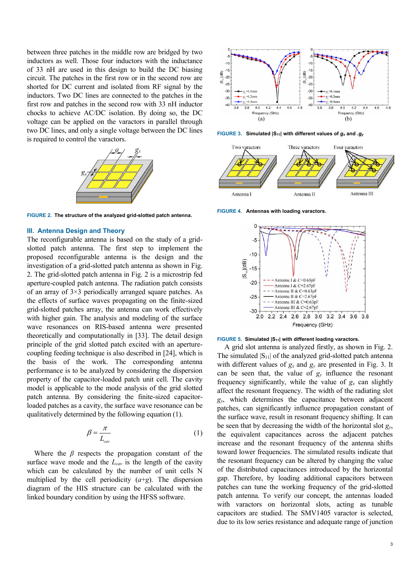between three patches in the middle row are bridged by two inductors as well. Those four inductors with the inductance of 33 nH are used in this design to build the DC biasing circuit. The patches in the first row or in the second row are shorted for DC current and isolated from RF signal by the inductors. Two DC lines are connected to the patches in the first row and patches in the second row with 33 nH inductor chocks to achieve AC/DC isolation. By doing so, the DC voltage can be applied on the varactors in parallel through two DC lines, and only a single voltage between the DC lines is required to control the varactors.



**FIGURE 2. The structure of the analyzed grid-slotted patch antenna.** 

#### **III. Antenna Design and Theory**

The reconfigurable antenna is based on the study of a gridslotted patch antenna. The first step to implement the proposed reconfigurable antenna is the design and the investigation of a grid-slotted patch antenna as shown in Fig. 2. The grid-slotted patch antenna in Fig. 2 is a microstrip fed aperture-coupled patch antenna. The radiation patch consists of an array of 3×3 periodically arranged square patches. As the effects of surface waves propagating on the finite-sized grid-slotted patches array, the antenna can work effectively with higher gain. The analysis and modeling of the surface wave resonances on RIS-based antenna were presented theoretically and computationally in [33]. The detail design principle of the grid slotted patch excited with an aperturecoupling feeding technique is also described in [24], which is the basis of the work. The corresponding antenna performance is to be analyzed by considering the dispersion property of the capacitor-loaded patch unit cell. The cavity model is applicable to the mode analysis of the grid slotted patch antenna. By considering the finite-sized capacitorloaded patches as a cavity, the surface wave resonance can be qualitatively determined by the following equation (1).

$$
\beta = \frac{\pi}{L_{\text{cav}}} \tag{1}
$$

Where the  $\beta$  respects the propagation constant of the surface wave mode and the *Lcav* is the length of the cavity which can be calculated by the number of unit cells N multiplied by the cell periodicity (*a*+*g*). The dispersion diagram of the HIS structure can be calculated with the linked boundary condition by using the HFSS software.



**FIGURE 3. Simulated |S11| with different values of** *g<sup>x</sup>* **and** *.g<sup>y</sup>*



**FIGURE 4. Antennas with loading varactors.**



#### **FIGURE 5. Simulated |S11| with different loading varactors.**

A grid slot antenna is analyzed firstly, as shown in Fig. 2. The simulated  $|S_{11}|$  of the analyzed grid-slotted patch antenna with different values of  $g_x$  and  $g_y$  are presented in Fig. 3. It can be seen that, the value of  $g_y$  influence the resonant frequency significantly, while the value of  $g_x$  can slightly affect the resonant frequency. The width of the radiating slot *gy*, which determines the capacitance between adjacent patches, can significantly influence propagation constant of the surface wave, result in resonant frequency shifting. It can be seen that by decreasing the width of the horizontal slot *gy*, the equivalent capacitances across the adjacent patches increase and the resonant frequency of the antenna shifts toward lower frequencies. The simulated results indicate that the resonant frequency can be altered by changing the value of the distributed capacitances introduced by the horizontal gap. Therefore, by loading additional capacitors between patches can tune the working frequency of the grid-slotted patch antenna. To verify our concept, the antennas loaded with varactors on horizontal slots, acting as tunable capacitors are studied. The SMV1405 varactor is selected, due to its low series resistance and adequate range of junction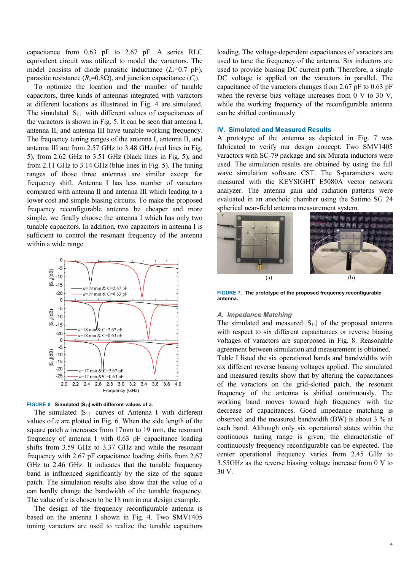capacitance from 0.63 pF to 2.67 pF. A series RLC equivalent circuit was utilized to model the varactors. The model consists of diode parasitic inductance  $(L_s=0.7 \text{ pF})$ , parasitic resistance ( $R_s$ =0.8 $\Omega$ ), and junction capacitance ( $C_i$ ).

To optimize the location and the number of tunable capacitors, three kinds of antennas integrated with varactors at different locations as illustrated in Fig. 4 are simulated. The simulated  $|S_{11}|$  with different values of capacitances of the varactors is shown in Fig. 5. It can be seen that antenna I, antenna II, and antenna III have tunable working frequency. The frequency tuning ranges of the antenna I, antenna II, and antenna III are from 2.57 GHz to 3.48 GHz (red lines in Fig. 5), from 2.62 GHz to 3.51 GHz (black lines in Fig. 5), and from 2.11 GHz to 3.14 GHz (blue lines in Fig. 5). The tuning ranges of those three antennas are similar except for frequency shift. Antenna I has less number of varactors compared with antenna II and antenna III which leading to a lower cost and simple biasing circuits. To make the proposed frequency reconfigurable antenna be cheaper and more simple, we finally choose the antenna I which has only two tunable capacitors. In addition, two capacitors in antenna I is sufficient to control the resonant frequency of the antenna within a wide range.



#### **FIGURE 6. Simulated |S11| with different values of a.**

The simulated  $|S_{11}|$  curves of Antenna I with different values of *a* are plotted in Fig. 6. When the side length of the square patch *a* increases from 17mm to 19 mm, the resonant frequency of antenna I with 0.63 pF capacitance loading shifts from 3.59 GHz to 3.37 GHz and while the resonant frequency with 2.67 pF capacitance loading shifts from 2.67 GHz to 2.46 GHz. It indicates that the tunable frequency band is influenced significantly by the size of the square patch. The simulation results also show that the value of *a* can hardly change the bandwidth of the tunable frequency. The value of *a* is chosen to be 18 mm in our design example.

The design of the frequency reconfigurable antenna is based on the antenna I shown in Fig. 4. Two SMV1405 tuning varactors are used to realize the tunable capacitors

loading. The voltage-dependent capacitances of varactors are used to tune the frequency of the antenna. Six inductors are used to provide biasing DC current path. Therefore, a single DC voltage is applied on the varactors in parallel. The capacitance of the varactors changes from 2.67 pF to 0.63 pF when the reverse bias voltage increases from 0 V to 30 V, while the working frequency of the reconfigurable antenna can be shifted continuously.

#### **IV. Simulated and Measured Results**

A prototype of the antenna as depicted in Fig. 7 was fabricated to verify our design concept. Two SMV1405 varactors with SC-79 package and six Murata inductors were used. The simulation results are obtained by using the full wave simulation software CST. The S-parameters were measured with the KEYSIGHT E5080A vector network analyzer. The antenna gain and radiation patterns were evaluated in an anechoic chamber using the Satimo SG 24 spherical near-field antenna measurement system.



**FIGURE 7. The prototype of the proposed frequency reconfigurable antenna.** 

#### *A. Impedance Matching*

The simulated and measured  $|S_{11}|$  of the proposed antenna with respect to six different capacitances or reverse biasing voltages of varactors are superposed in Fig. 8. Reasonable agreement between simulation and measurement is obtained. Table I listed the six operational bands and bandwidths with six different reverse biasing voltages applied. The simulated and measured results show that by altering the capacitances of the varactors on the grid-slotted patch, the resonant frequency of the antenna is shifted continuously. The working band moves toward high frequency with the decrease of capacitances. Good impedance matching is observed and the measured bandwidth (BW) is about 3 % at each band. Although only six operational states within the continuous tuning range is given, the characteristic of continuously frequency reconfigurable can be expected. The center operational frequency varies from 2.45 GHz to 3.55GHz as the reverse biasing voltage increase from 0 V to 30 V.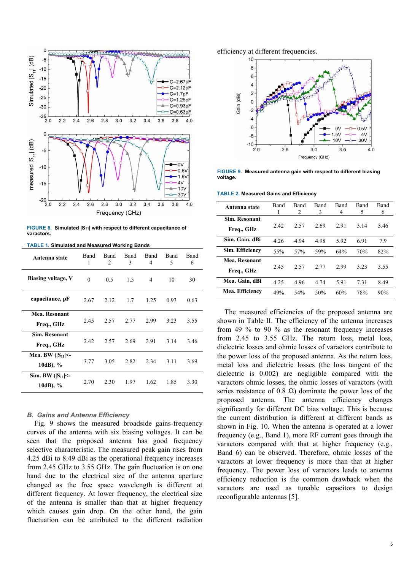

**FIGURE 8. Simulated |S11| with respect to different capacitance of varactors.** 

**TABLE 1. Simulated and Measured Working Bands**

| Antenna state                      | <b>Band</b><br>1 | Band<br>$\mathfrak{D}$ | Band<br>3 | <b>Band</b><br>4 | Band<br>5 | Band<br>6 |
|------------------------------------|------------------|------------------------|-----------|------------------|-----------|-----------|
| <b>Biasing voltage, V</b>          | $\theta$         | 0.5                    | 1.5       | 4                | 10        | 30        |
| capacitance, pF                    | 2.67             | 2.12                   | 1.7       | 1.25             | 0.93      | 0.63      |
| Mea. Resonant<br>Freq., GHz        | 2.45             | 2.57                   | 2.77      | 2.99             | 3.23      | 3.55      |
| Sim. Resonant<br>Freq., GHz        | 2.42             | 2.57                   | 2.69      | 2.91             | 3.14      | 3.46      |
| Mea. BW $( S_{11} <$<br>10dB), $%$ | 3.77             | 3.05                   | 2.82      | 2.34             | 3.11      | 3.69      |
| Sim. BW $( S_{11} <$<br>10dB), %   | 2.70             | 2.30                   | 1.97      | 1.62             | 1.85      | 3.30      |

#### *B. Gains and Antenna Efficiency*

Fig. 9 shows the measured broadside gains-frequency curves of the antenna with six biasing voltages. It can be seen that the proposed antenna has good frequency selective characteristic. The measured peak gain rises from 4.25 dBi to 8.49 dBi as the operational frequency increases from 2.45 GHz to 3.55 GHz. The gain fluctuation is on one hand due to the electrical size of the antenna aperture changed as the free space wavelength is different at different frequency. At lower frequency, the electrical size of the antenna is smaller than that at higher frequency which causes gain drop. On the other hand, the gain fluctuation can be attributed to the different radiation

efficiency at different frequencies.



**FIGURE 9. Measured antenna gain with respect to different biasing voltage.**

**TABLE 2. Measured Gains and Efficiency**

| Antenna state        | Band | <b>Band</b>    | Band | Band | Band | Band |
|----------------------|------|----------------|------|------|------|------|
|                      |      | $\mathfrak{D}$ | 3    | 4    | 5    | 6    |
| <b>Sim. Resonant</b> |      |                |      |      |      |      |
| Freq., GHz           | 2.42 | 2.57           | 2.69 | 2.91 | 3.14 | 3.46 |
| Sim. Gain, dBi       | 4.26 | 4.94           | 4.98 | 5.92 | 6.91 | 7.9  |
| Sim. Efficiency      | 55%  | 57%            | 59%  | 64%  | 70%  | 82%  |
| Mea. Resonant        |      |                |      |      |      |      |
| Freq., GHz           | 2.45 | 2.57           | 2.77 | 2.99 | 3.23 | 3.55 |
| Mea. Gain, dBi       | 4.25 | 4.96           | 4.74 | 5.91 | 7.31 | 8.49 |
| Mea. Efficiency      | 49%  | 54%            | 50%  | 60%  | 78%  | 90%  |

The measured efficiencies of the proposed antenna are shown in Table II. The efficiency of the antenna increases from 49 % to 90 % as the resonant frequency increases from 2.45 to 3.55 GHz. The return loss, metal loss, dielectric losses and ohmic losses of varactors contribute to the power loss of the proposed antenna. As the return loss, metal loss and dielectric losses (the loss tangent of the dielectric is 0.002) are negligible compared with the varactors ohmic losses, the ohmic losses of varactors (with series resistance of 0.8  $\Omega$ ) dominate the power loss of the proposed antenna. The antenna efficiency changes significantly for different DC bias voltage. This is because the current distribution is different at different bands as shown in Fig. 10. When the antenna is operated at a lower frequency (e.g., Band 1), more RF current goes through the varactors compared with that at higher frequency (e.g., Band 6) can be observed. Therefore, ohmic losses of the varactors at lower frequency is more than that at higher frequency. The power loss of varactors leads to antenna efficiency reduction is the common drawback when the varactors are used as tunable capacitors to design reconfigurable antennas [5].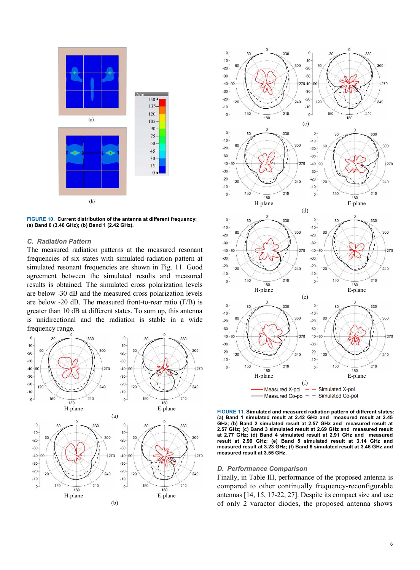

**FIGURE 10. Current distribution of the antenna at different frequency: (a) Band 6 (3.46 GHz); (b) Band 1 (2.42 GHz).** 

#### *C. Radiation Pattern*

The measured radiation patterns at the measured resonant frequencies of six states with simulated radiation pattern at simulated resonant frequencies are shown in Fig. 11. Good agreement between the simulated results and measured results is obtained. The simulated cross polarization levels are below -30 dB and the measured cross polarization levels are below -20 dB. The measured front-to-rear ratio (F/B) is greater than 10 dB at different states. To sum up, this antenna is unidirectional and the radiation is stable in a wide frequency range.





**FIGURE 11. Simulated and measured radiation pattern of different states: (a) Band 1 simulated result at 2.42 GHz and measured result at 2.45 GHz; (b) Band 2 simulated result at 2.57 GHz and measured result at 2.57 GHz; (c) Band 3 simulated result at 2.69 GHz and measured result at 2.77 GHz; (d) Band 4 simulated result at 2.91 GHz and measured result at 2.99 GHz; (e) Band 5 simulated result at 3.14 GHz and measured result at 3.23 GHz; (f) Band 6 simulated result at 3.46 GHz and measured result at 3.55 GHz.**

#### *D. Performance Comparison*

Finally, in Table III, performance of the proposed antenna is compared to other continually frequency-reconfigurable antennas [14, 15, 17-22, 27]. Despite its compact size and use of only 2 varactor diodes, the proposed antenna shows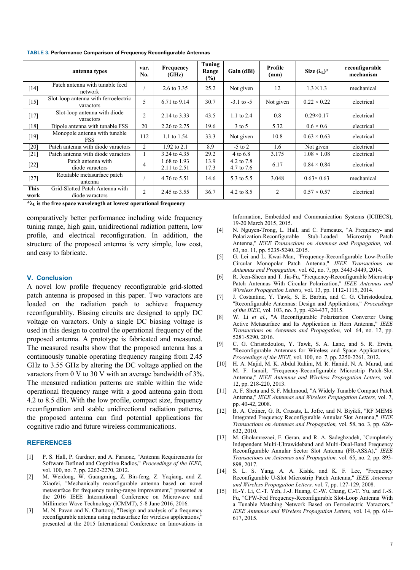**TABLE 3. Performance Comparison of Frequency Reconfigurable Antennas**

|                     | antenna types                                      | var.<br>No.    | <b>Frequency</b><br>(GHz)    | Tuning<br>Range<br>$(\%)$ | Gain (dBi)               | Profile<br>(mm) | Size $(\lambda_L)^*$ | reconfigurable<br>mechanism |
|---------------------|----------------------------------------------------|----------------|------------------------------|---------------------------|--------------------------|-----------------|----------------------|-----------------------------|
| $[14]$              | Patch antenna with tunable feed<br>network         |                | 2.6 to 3.35                  | 25.2                      | Not given                | 12              | $1.3 \times 1.3$     | mechanical                  |
| $[15]$              | Slot-loop antenna with ferroelectric<br>varactors  | 5              | 6.71 to 9.14                 | 30.7                      | $-3.1$ to $-5$           | Not given       | $0.22 \times 0.22$   | electrical                  |
| $[17]$              | Slot-loop antenna with diode<br>varactors          | $\overline{2}$ | 2.14 to 3.33                 | 43.5                      | 1.1 to $2.4$             | 0.8             | $0.29\times0.17$     | electrical                  |
| $[18]$              | Dipole antenna with tunable FSS                    | 20             | 2.26 to 2.75                 | 19.6                      | $3$ to 5                 | 5.32            | $0.6 \times 0.6$     | electrical                  |
| $[19]$              | Monopole antenna with tunable<br><b>FSS</b>        | 112            | 1.1 to 1.54                  | 33.3                      | Not given                | 10.8            | $0.63 \times 0.63$   | electrical                  |
| $[20]$              | Patch antenna with diode varactors                 | $\overline{2}$ | 1.92 to 2.1                  | 8.9                       | $-5$ to 2                | 1.6             | Not given            | electrical                  |
| $[21]$              | Patch antenna with diode varactors                 |                | 3.24 to 4.35                 | 29.2                      | 4 to 6.8                 | 3.175           | $1.08 \times 1.08$   | electrical                  |
| $[22]$              | Patch antenna with<br>diode varactors              | 4              | 1.68 to 1.93<br>2.11 to 2.51 | 13.9<br>17.3              | 4.2 to 7.8<br>4.7 to 7.6 | 6.17            | $0.84 \times 0.84$   | electrical                  |
| $[27]$              | Rotatable metasurface patch<br>antenna             |                | 4.76 to 5.51                 | 14.6                      | 5.3 to 5.5               | 3.048           | $0.63 \times 0.63$   | mechanical                  |
| <b>This</b><br>work | Grid-Slotted Patch Antenna with<br>diode varactors | $\overline{2}$ | 2.45 to 3.55                 | 36.7                      | 4.2 to $8.5$             | 2               | $0.57 \times 0.57$   | electrical                  |

 $*\lambda_L$  is the free space wavelength at lowest operational frequency

comparatively better performance including wide frequency tuning range, high gain, unidirectional radiation pattern, low profile, and electrical reconfiguration. In addition, the structure of the proposed antenna is very simple, low cost, and easy to fabricate.

#### **V. Conclusion**

A novel low profile frequency reconfigurable grid-slotted patch antenna is proposed in this paper. Two varactors are loaded on the radiation patch to achieve frequency reconfigurablity. Biasing circuits are designed to apply DC voltage on varactors. Only a single DC biasing voltage is used in this design to control the operational frequency of the proposed antenna. A prototype is fabricated and measured. The measured results show that the proposed antenna has a continuously tunable operating frequency ranging from 2.45 GHz to 3.55 GHz by altering the DC voltage applied on the varactors from 0 V to 30 V with an average bandwidth of 3%. The measured radiation patterns are stable within the wide operational frequency range with a good antenna gain from 4.2 to 8.5 dBi. With the low profile, compact size, frequency reconfiguration and stable unidirectional radiation patterns, the proposed antenna can find potential applications for cognitive radio and future wireless communications.

#### **REFERENCES**

- [1] P. S. Hall, P. Gardner, and A. Faraone, "Antenna Requirements for Software Defined and Cognitive Radios," *Proceedings of the IEEE,*  vol. 100, no. 7, pp. 2262-2270, 2012.
- [2] M. Weidong, W. Guangming, Z. Bin-feng, Z. Yaqiang, and Z. Xiaofei, "Mechanically reconfigurable antenna based on novel metasurface for frequency tuning-range improvement," presented at the 2016 IEEE International Conference on Microwave and Millimeter Wave Technology (ICMMT), 5-8 June 2016, 2016.
- [3] M. N. Pavan and N. Chattoraj, "Design and analysis of a frequency reconfigurable antenna using metasurface for wireless applications," presented at the 2015 International Conference on Innovations in

Information, Embedded and Communication Systems (ICIIECS), 19-20 March 2015, 2015.

- [4] N. Nguyen-Trong, L. Hall, and C. Fumeaux, "A Frequency- and Polarization-Reconfigurable Antenna," *IEEE Transactions on Antennas and Propagation,* vol. 63, no. 11, pp. 5235-5240, 2015.
- [5] G. Lei and L. Kwai-Man, "Frequency-Reconfigurable Low-Profile Circular Monopolar Patch Antenna," *IEEE Transactions on Antennas and Propagation,* vol. 62, no. 7, pp. 3443-3449, 2014.
- [6] R. Jeen-Sheen and T. Jia-Fu, "Frequency-Reconfigurable Microstrip Patch Antennas With Circular Polarization," *IEEE Antennas and Wireless Propagation Letters,* vol. 13, pp. 1112-1115, 2014.
- [7] J. Costantine, Y. Tawk, S. E. Barbin, and C. G. Christodoulou, "Reconfigurable Antennas: Design and Applications," *Proceedings of the IEEE,* vol. 103, no. 3, pp. 424-437, 2015.
- [8] W. Li *et al.*, "A Reconfigurable Polarization Converter Using Active Metasurface and Its Application in Horn Antenna," *IEEE Transactions on Antennas and Propagation,* vol. 64, no. 12, pp. 5281-5290, 2016.
- [9] C. G. Christodoulou, Y. Tawk, S. A. Lane, and S. R. Erwin, "Reconfigurable Antennas for Wireless and Space Applications," *Proceedings of the IEEE,* vol. 100, no. 7, pp. 2250-2261, 2012.
- [10] H. A. Majid, M. K. Abdul Rahim, M. R. Hamid, N. A. Murad, and M. F. Ismail, "Frequency-Reconfigurable Microstrip Patch-Slot Antenna," *IEEE Antennas and Wireless Propagation Letters,* vol. 12, pp. 218-220, 2013.
- [11] A. F. Sheta and S. F. Mahmoud, "A Widely Tunable Compact Patch Antenna," *IEEE Antennas and Wireless Propagation Letters,* vol. 7, pp. 40-42, 2008.
- [12] B. A. Cetiner, G. R. Crusats, L. Jofre, and N. Biyikli, "RF MEMS Integrated Frequency Reconfigurable Annular Slot Antenna," *IEEE Transactions on Antennas and Propagation,* vol. 58, no. 3, pp. 626- 632, 2010.
- [13] M. Gholamrezaei, F. Geran, and R. A. Sadeghzadeh, "Completely Independent Multi-Ultrawideband and Multi-Dual-Band Frequency Reconfigurable Annular Sector Slot Antenna (FR-ASSA)," *IEEE Transactions on Antennas and Propagation,* vol. 65, no. 2, pp. 893- 898, 2017.
- [14] S. L. S. Yang, A. A. Kishk, and K. F. Lee, "Frequency Reconfigurable U-Slot Microstrip Patch Antenna," *IEEE Antennas and Wireless Propagation Letters,* vol. 7, pp. 127-129, 2008.
- [15] H.-Y. Li, C.-T. Yeh, J.-J. Huang, C.-W. Chang, C.-T. Yu, and J.-S. Fu, "CPW-Fed Frequency-Reconfigurable Slot-Loop Antenna With a Tunable Matching Network Based on Ferroelectric Varactors," *IEEE Antennas and Wireless Propagation Letters,* vol. 14, pp. 614- 617, 2015.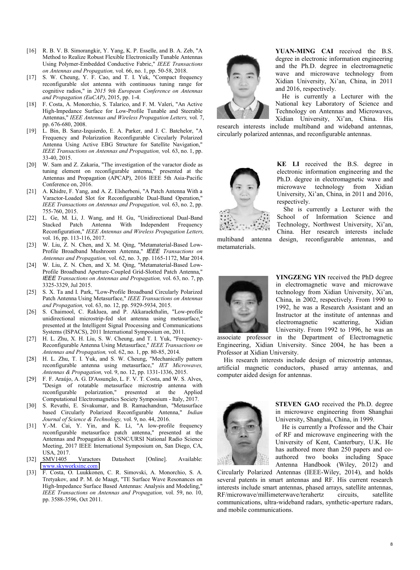- [16] R. B. V. B. Simorangkir, Y. Yang, K. P. Esselle, and B. A. Zeb, "A Method to Realize Robust Flexible Electronically Tunable Antennas Using Polymer-Embedded Conductive Fabric," *IEEE Transactions on Antennas and Propagation,* vol. 66, no. 1, pp. 50-58, 2018.
- [17] S. W. Cheung, Y. F. Cao, and T. I. Yuk, "Compact frequency reconfigurable slot antenna with continuous tuning range for cognitive radios," in *2015 9th European Conference on Antennas and Propagation (EuCAP)*, 2015, pp. 1-4.
- [18] F. Costa, A. Monorchio, S. Talarico, and F. M. Valeri, "An Active High-Impedance Surface for Low-Profile Tunable and Steerable Antennas," *IEEE Antennas and Wireless Propagation Letters,* vol. 7, pp. 676-680, 2008.
- [19] L. Bin, B. Sanz-Izquierdo, E. A. Parker, and J. C. Batchelor, "A Frequency and Polarization Reconfigurable Circularly Polarized Antenna Using Active EBG Structure for Satellite Navigation," *IEEE Transactions on Antennas and Propagation,* vol. 63, no. 1, pp. 33-40, 2015.
- [20] W. Sam and Z. Zakaria, "The investigation of the varactor diode as tuning element on reconfigurable antenna," presented at the Antennas and Propagation (APCAP), 2016 IEEE 5th Asia-Pacific Conference on, 2016.
- [21] A. Khidre, F. Yang, and A. Z. Elsherbeni, "A Patch Antenna With a Varactor-Loaded Slot for Reconfigurable Dual-Band Operation," *IEEE Transactions on Antennas and Propagation,* vol. 63, no. 2, pp. 755-760, 2015.
- [22] L. Ge, M. Li, J. Wang, and H. Gu, "Unidirectional Dual-Band Stacked Patch Antenna With Independent Frequency Reconfiguration," *IEEE Antennas and Wireless Propagation Letters,*  vol. 16, pp. 113-116, 2017.
- [23] W. Liu, Z. N. Chen, and X. M. Qing, "Metamaterial-Based Low-Profile Broadband Mushroom Antenna," *IEEE Transactions on Antennas and Propagation,* vol. 62, no. 3, pp. 1165-1172, Mar 2014.
- [24] W. Liu, Z. N. Chen, and X. M. Qing, "Metamaterial-Based Low-Profile Broadband Aperture-Coupled Grid-Slotted Patch Antenna," *IEEE Transactions on Antennas and Propagation,* vol. 63, no. 7, pp. 3325-3329, Jul 2015.
- [25] S. X. Ta and I. Park, "Low-Profile Broadband Circularly Polarized Patch Antenna Using Metasurface," *IEEE Transactions on Antennas and Propagation,* vol. 63, no. 12, pp. 5929-5934, 2015.
- [26] S. Chaimool, C. Rakluea, and P. Akkaraekthalin, "Low-profile unidirectional microstrip-fed slot antenna using metasurface," presented at the Intelligent Signal Processing and Communications Systems (ISPACS), 2011 International Symposium on, 2011.
- [27] H. L. Zhu, X. H. Liu, S. W. Cheung, and T. I. Yuk, "Frequency-Reconfigurable Antenna Using Metasurface," *IEEE Transactions on Antennas and Propagation,* vol. 62, no. 1, pp. 80-85, 2014.
- [28] H. L. Zhu, T. I. Yuk, and S. W. Cheung, "Mechanically pattern reconfigurable antenna using metasurface," *IET Microwaves, Antennas & Propagation,* vol. 9, no. 12, pp. 1331-1336, 2015.
- [29] F. F. Araújo, A. G. D'Assunção, L. F. V. T. Costa, and W. S. Alves, "Design of rotatable metasurface microstrip antenna with reconfigurable polarization," presented at the Applied Computational Electromagnetics Society Symposium - Italy, 2017.
- [30] S. Revathi, E. Sivakumar, and B. Ramachandran, "Metasurface based Circularly Polarized Reconfigurable Antenna," *Indian Journal of Science & Technology,* vol. 9, no. 44, 2016.
- [31] Y.-M. Cai, Y. Yin, and K. Li, "A low-profile frequency reconfigurable metasurface patch antenna," presented at the Antennas and Propagation & USNC/URSI National Radio Science Meeting, 2017 IEEE International Symposium on, San Diego, CA, USA, 2017.
- [32] SMV1405 Varactors Datasheet [Online]. Available: [www.skyworksinc.com](file:///C:/Users/cym/Documents/WeChat%20Files/qq312632477/Files/www.skyworksinc.com)
- [33] F. Costa, O. Luukkonen, C. R. Simovski, A. Monorchio, S. A. Tretyakov, and P. M. de Maagt, "TE Surface Wave Resonances on High-Impedance Surface Based Antennas: Analysis and Modeling," *IEEE Transactions on Antennas and Propagation,* vol. 59, no. 10, pp. 3588-3596, Oct 2011.



**YUAN-MING CAI** received the B.S. degree in electronic information engineering and the Ph.D. degree in electromagnetic wave and microwave technology from Xidian University, Xi'an, China, in 2011 and 2016, respectively.

He is currently a Lecturer with the National key Laboratory of Science and Technology on Antennas and Microwaves, Xidian University, Xi'an, China. His

research interests include multiband and wideband antennas, circularly polarized antennas, and reconfigurable antennas.



metamaterials.

**KE LI** received the B.S. degree in electronic information engineering and the Ph.D. degree in electromagnetic wave and microwave technology from Xidian University, Xi'an, China, in 2011 and 2016, respectively.

She is currently a Lecturer with the School of Information Science and Technology, Northwest University, Xi'an, China. Her research interests include multiband antenna design, reconfigurable antennas, and



**YINGZENG YIN** received the PhD degree in electromagnetic wave and microwave technology from Xidian University, Xi'an, China, in 2002, respectively. From 1990 to 1992, he was a Research Assistant and an Instructor at the institute of antennas and electromagnetic scattering, Xidian University. From 1992 to 1996, he was an

associate professor in the Department of Electromagnetic Engineering, Xidian University. Since 2004, he has been a Professor at Xidian University.

His research interests include design of microstrip antennas, artificial magnetic conductors, phased array antennas, and computer aided design for antennas.



**STEVEN GAO** received the Ph.D. degree in microwave engineering from Shanghai University, Shanghai, China, in 1999.

He is currently a Professor and the Chair of RF and microwave engineering with the University of Kent, Canterbury, U.K. He has authored more than 250 papers and coauthored two books including Space Antenna Handbook (Wiley, 2012) and

Circularly Polarized Antennas (IEEE-Wiley, 2014), and holds several patents in smart antennas and RF. His current research interests include smart antennas, phased arrays, satellite antennas, RF/microwave/millimeterwave/terahertz circuits, satellite communications, ultra-wideband radars, synthetic-aperture radars, and mobile communications.